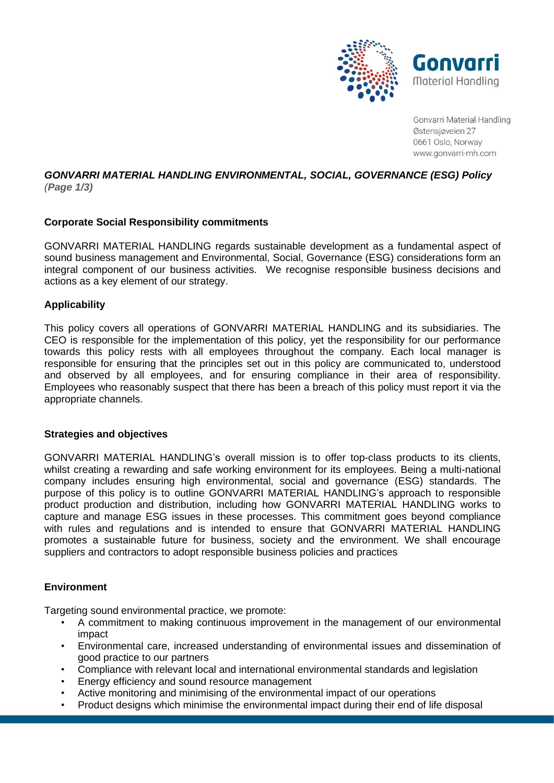

Gonvarri Material Handling Østensjøvejen 27 0661 Oslo, Norway www.gonvarri-mh.com

#### *GONVARRI MATERIAL HANDLING ENVIRONMENTAL, SOCIAL, GOVERNANCE (ESG) Policy (Page 1/3)*

# **Corporate Social Responsibility commitments**

GONVARRI MATERIAL HANDLING regards sustainable development as a fundamental aspect of sound business management and Environmental, Social, Governance (ESG) considerations form an integral component of our business activities. We recognise responsible business decisions and actions as a key element of our strategy.

## **Applicability**

This policy covers all operations of GONVARRI MATERIAL HANDLING and its subsidiaries. The CEO is responsible for the implementation of this policy, yet the responsibility for our performance towards this policy rests with all employees throughout the company. Each local manager is responsible for ensuring that the principles set out in this policy are communicated to, understood and observed by all employees, and for ensuring compliance in their area of responsibility. Employees who reasonably suspect that there has been a breach of this policy must report it via the appropriate channels.

## **Strategies and objectives**

GONVARRI MATERIAL HANDLING's overall mission is to offer top-class products to its clients, whilst creating a rewarding and safe working environment for its employees. Being a multi-national company includes ensuring high environmental, social and governance (ESG) standards. The purpose of this policy is to outline GONVARRI MATERIAL HANDLING's approach to responsible product production and distribution, including how GONVARRI MATERIAL HANDLING works to capture and manage ESG issues in these processes. This commitment goes beyond compliance with rules and regulations and is intended to ensure that GONVARRI MATERIAL HANDLING promotes a sustainable future for business, society and the environment. We shall encourage suppliers and contractors to adopt responsible business policies and practices

## **Environment**

Targeting sound environmental practice, we promote:

- A commitment to making continuous improvement in the management of our environmental impact
- Environmental care, increased understanding of environmental issues and dissemination of good practice to our partners
- Compliance with relevant local and international environmental standards and legislation
- Energy efficiency and sound resource management
- Active monitoring and minimising of the environmental impact of our operations
- Product designs which minimise the environmental impact during their end of life disposal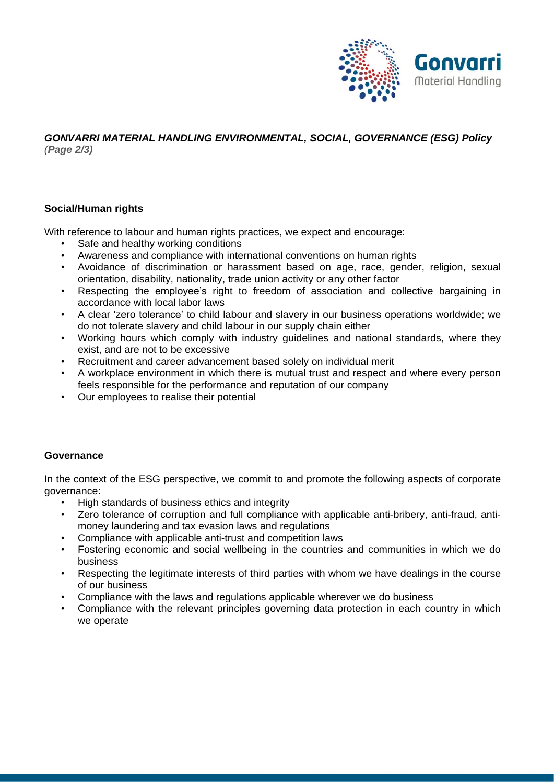

#### *GONVARRI MATERIAL HANDLING ENVIRONMENTAL, SOCIAL, GOVERNANCE (ESG) Policy (Page 2/3)*

# **Social/Human rights**

With reference to labour and human rights practices, we expect and encourage:

- Safe and healthy working conditions
- Awareness and compliance with international conventions on human rights
- Avoidance of discrimination or harassment based on age, race, gender, religion, sexual orientation, disability, nationality, trade union activity or any other factor
- Respecting the employee's right to freedom of association and collective bargaining in accordance with local labor laws
- A clear 'zero tolerance' to child labour and slavery in our business operations worldwide; we do not tolerate slavery and child labour in our supply chain either
- Working hours which comply with industry guidelines and national standards, where they exist, and are not to be excessive
- Recruitment and career advancement based solely on individual merit
- A workplace environment in which there is mutual trust and respect and where every person feels responsible for the performance and reputation of our company
- Our employees to realise their potential

# **Governance**

In the context of the ESG perspective, we commit to and promote the following aspects of corporate governance:

- High standards of business ethics and integrity
- Zero tolerance of corruption and full compliance with applicable anti-bribery, anti-fraud, antimoney laundering and tax evasion laws and regulations
- Compliance with applicable anti-trust and competition laws
- Fostering economic and social wellbeing in the countries and communities in which we do business
- Respecting the legitimate interests of third parties with whom we have dealings in the course of our business
- Compliance with the laws and regulations applicable wherever we do business
- Compliance with the relevant principles governing data protection in each country in which we operate